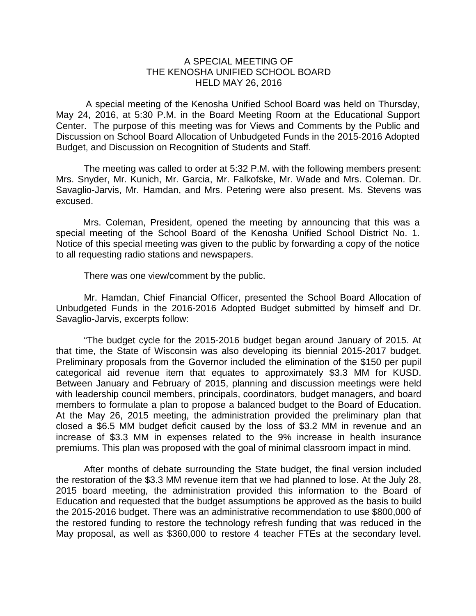## A SPECIAL MEETING OF THE KENOSHA UNIFIED SCHOOL BOARD HELD MAY 26, 2016

A special meeting of the Kenosha Unified School Board was held on Thursday, May 24, 2016, at 5:30 P.M. in the Board Meeting Room at the Educational Support Center. The purpose of this meeting was for Views and Comments by the Public and Discussion on School Board Allocation of Unbudgeted Funds in the 2015-2016 Adopted Budget, and Discussion on Recognition of Students and Staff.

The meeting was called to order at 5:32 P.M. with the following members present: Mrs. Snyder, Mr. Kunich, Mr. Garcia, Mr. Falkofske, Mr. Wade and Mrs. Coleman. Dr. Savaglio-Jarvis, Mr. Hamdan, and Mrs. Petering were also present. Ms. Stevens was excused.

Mrs. Coleman, President, opened the meeting by announcing that this was a special meeting of the School Board of the Kenosha Unified School District No. 1. Notice of this special meeting was given to the public by forwarding a copy of the notice to all requesting radio stations and newspapers.

There was one view/comment by the public.

Mr. Hamdan, Chief Financial Officer, presented the School Board Allocation of Unbudgeted Funds in the 2016-2016 Adopted Budget submitted by himself and Dr. Savaglio-Jarvis, excerpts follow:

"The budget cycle for the 2015-2016 budget began around January of 2015. At that time, the State of Wisconsin was also developing its biennial 2015-2017 budget. Preliminary proposals from the Governor included the elimination of the \$150 per pupil categorical aid revenue item that equates to approximately \$3.3 MM for KUSD. Between January and February of 2015, planning and discussion meetings were held with leadership council members, principals, coordinators, budget managers, and board members to formulate a plan to propose a balanced budget to the Board of Education. At the May 26, 2015 meeting, the administration provided the preliminary plan that closed a \$6.5 MM budget deficit caused by the loss of \$3.2 MM in revenue and an increase of \$3.3 MM in expenses related to the 9% increase in health insurance premiums. This plan was proposed with the goal of minimal classroom impact in mind.

After months of debate surrounding the State budget, the final version included the restoration of the \$3.3 MM revenue item that we had planned to lose. At the July 28, 2015 board meeting, the administration provided this information to the Board of Education and requested that the budget assumptions be approved as the basis to build the 2015-2016 budget. There was an administrative recommendation to use \$800,000 of the restored funding to restore the technology refresh funding that was reduced in the May proposal, as well as \$360,000 to restore 4 teacher FTEs at the secondary level.